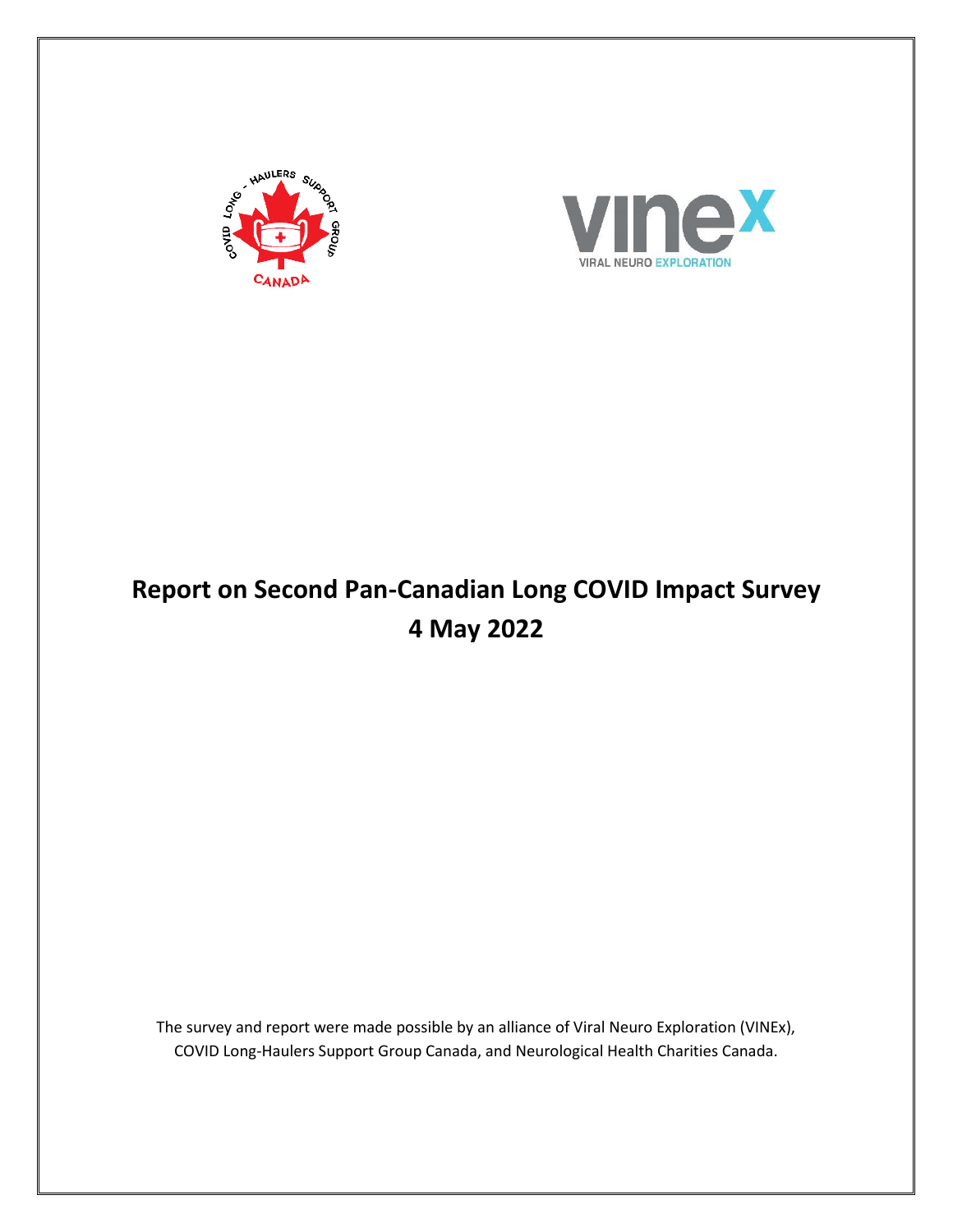



# **Report on Second Pan-Canadian Long COVID Impact Survey 4 May 2022**

The survey and report were made possible by an alliance of Viral Neuro Exploration (VINEx), COVID Long-Haulers Support Group Canada, and Neurological Health Charities Canada.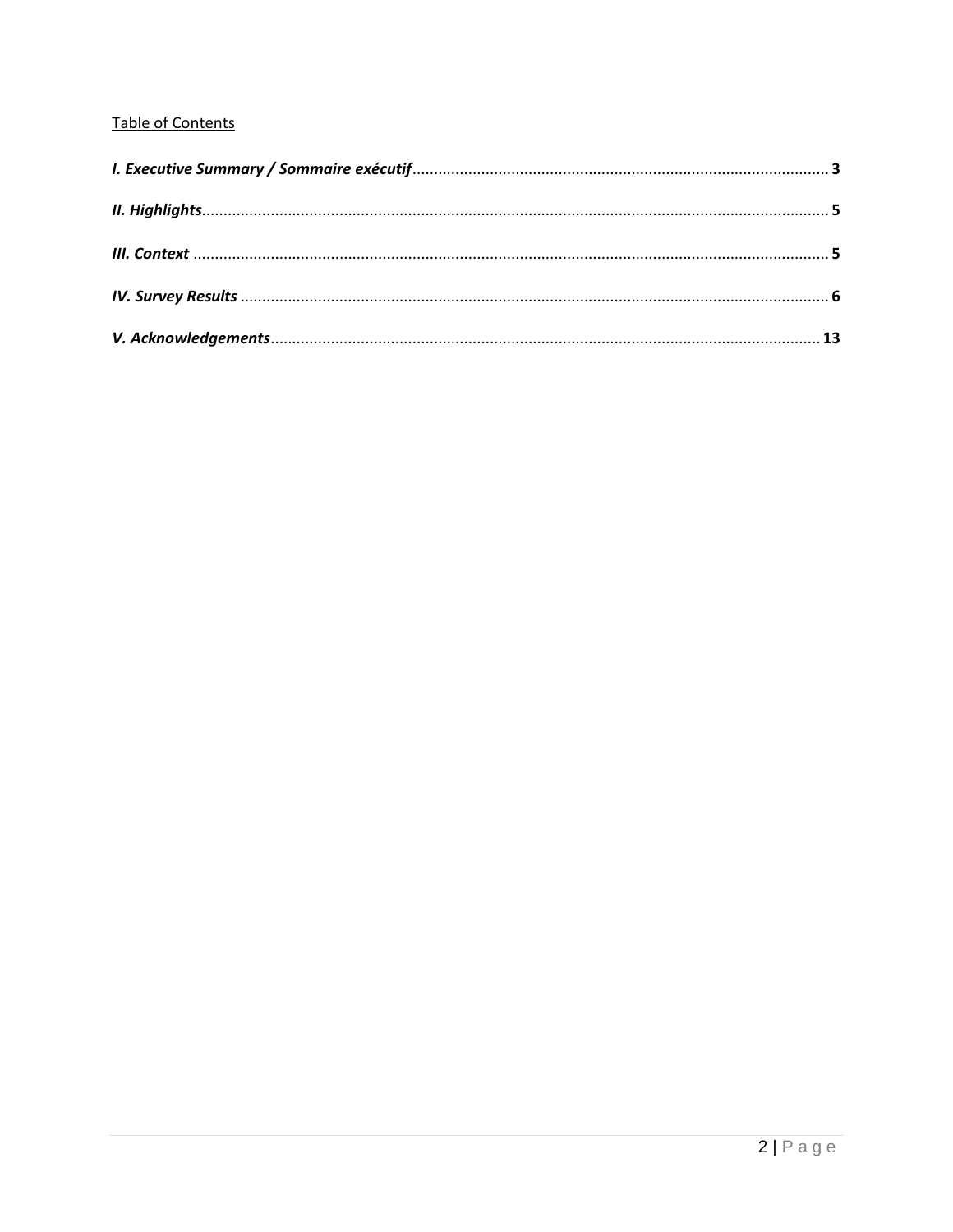## Table of Contents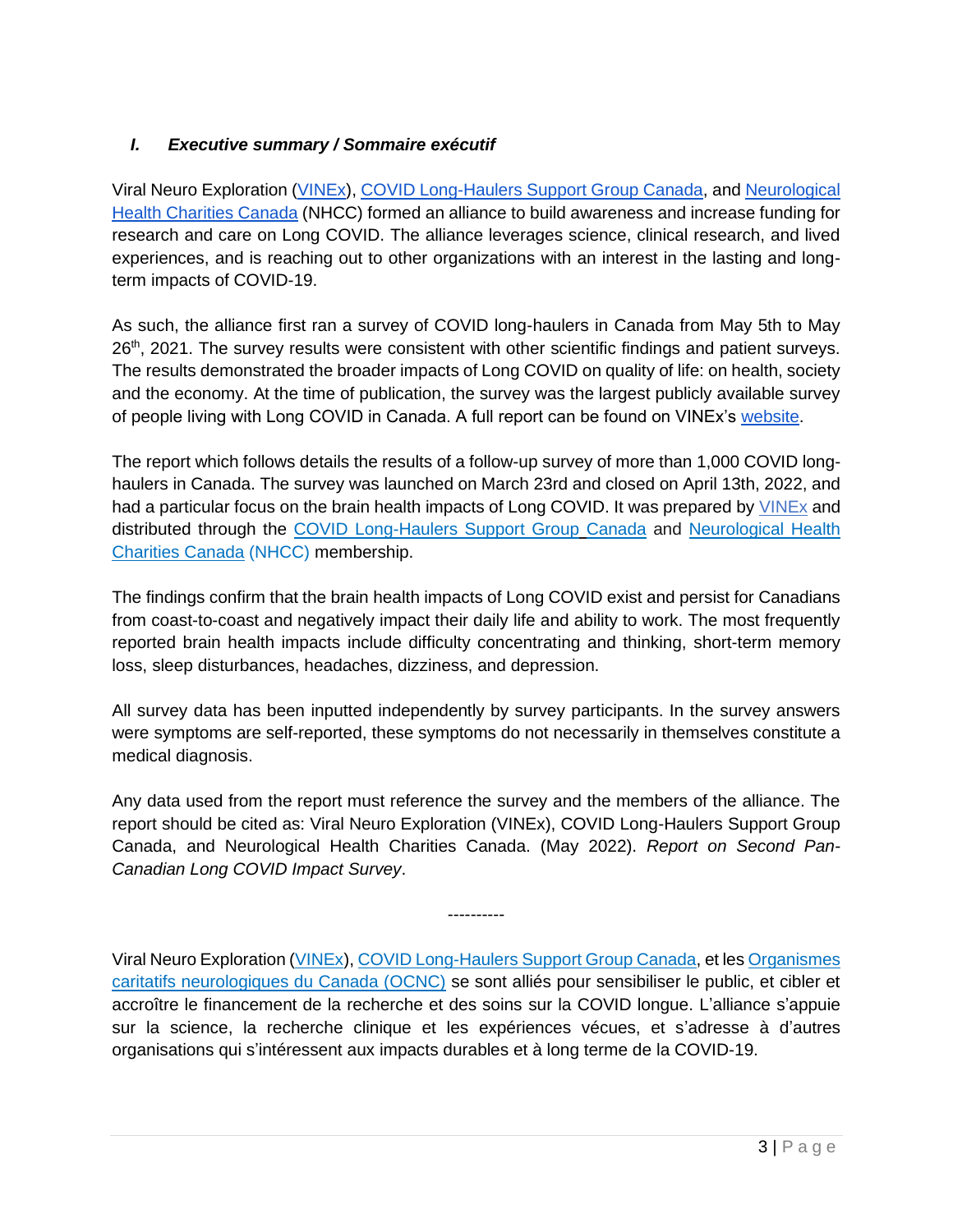## *I. Executive summary / Sommaire exécutif*

Viral Neuro Exploration [\(VINEx\)](https://www.vinex.ca/)[,](https://covidlonghaulcanada.com/) [COVID Long-Haulers Support Group Canada,](https://covidlonghaulcanada.com/) an[d](https://mybrainmatters.ca/) [Neurological](https://mybrainmatters.ca/)  [Health Charities Canada](https://mybrainmatters.ca/) (NHCC) formed an alliance to build awareness and increase funding for research and care on Long COVID. The alliance leverages science, clinical research, and lived experiences, and is reaching out to other organizations with an interest in the lasting and longterm impacts of COVID-19.

As such, the alliance first ran a survey of COVID long-haulers in Canada from May 5th to May 26<sup>th</sup>, 2021. The survey results were consistent with other scientific findings and patient surveys. The results demonstrated the broader impacts of Long COVID on quality of life: on health, society and the economy. At the time of publication, the survey was the largest publicly available survey of people living with Long COVID in Canada. A full report can be found on VINEx's [website.](https://imgix.cosmicjs.com/d8d3d3b0-c936-11eb-ba89-e7f98c8c358b-FINAL---Report-on-Long-Covid-Impact-Survey---June-8-2021.pdf)

The report which follows details the results of a follow-up survey of more than 1,000 COVID longhaulers in Canada. The survey was launched on March 23rd and closed on April 13th, 2022, and had a particular focus on the brain health impacts of Long COVID. It was prepared b[y](https://www.vinex.ca/) [VINEx](https://www.vinex.ca/) and distributed through th[e](https://www.covidlonghaulcanada.com/) [COVID Long-Haulers Support Group](https://www.covidlonghaulcanada.com/) [Canada](https://www.covidlonghaulcanada.com/) and [Neurological Health](https://mybrainmatters.ca/)  [Charities Canada](https://mybrainmatters.ca/) (NHCC) membership.

The findings confirm that the brain health impacts of Long COVID exist and persist for Canadians from coast-to-coast and negatively impact their daily life and ability to work. The most frequently reported brain health impacts include difficulty concentrating and thinking, short-term memory loss, sleep disturbances, headaches, dizziness, and depression.

All survey data has been inputted independently by survey participants. In the survey answers were symptoms are self-reported, these symptoms do not necessarily in themselves constitute a medical diagnosis.

Any data used from the report must reference the survey and the members of the alliance. The report should be cited as: Viral Neuro Exploration (VINEx), COVID Long-Haulers Support Group Canada, and Neurological Health Charities Canada. (May 2022). *Report on Second Pan-Canadian Long COVID Impact Survey*.

----------

Viral Neuro Exploration [\(VINEx\)](https://www.vinex.ca/), [COVID Long-Haulers Support Group Canada,](https://www.covidlonghaulcanada.com/) et le[s Organismes](https://moncerveaumavie.ca/)  [caritatifs neurologiques du Canada \(OCNC\)](https://moncerveaumavie.ca/) se sont alliés pour sensibiliser le public, et cibler et accroître le financement de la recherche et des soins sur la COVID longue. L'alliance s'appuie sur la science, la recherche clinique et les expériences vécues, et s'adresse à d'autres organisations qui s'intéressent aux impacts durables et à long terme de la COVID-19.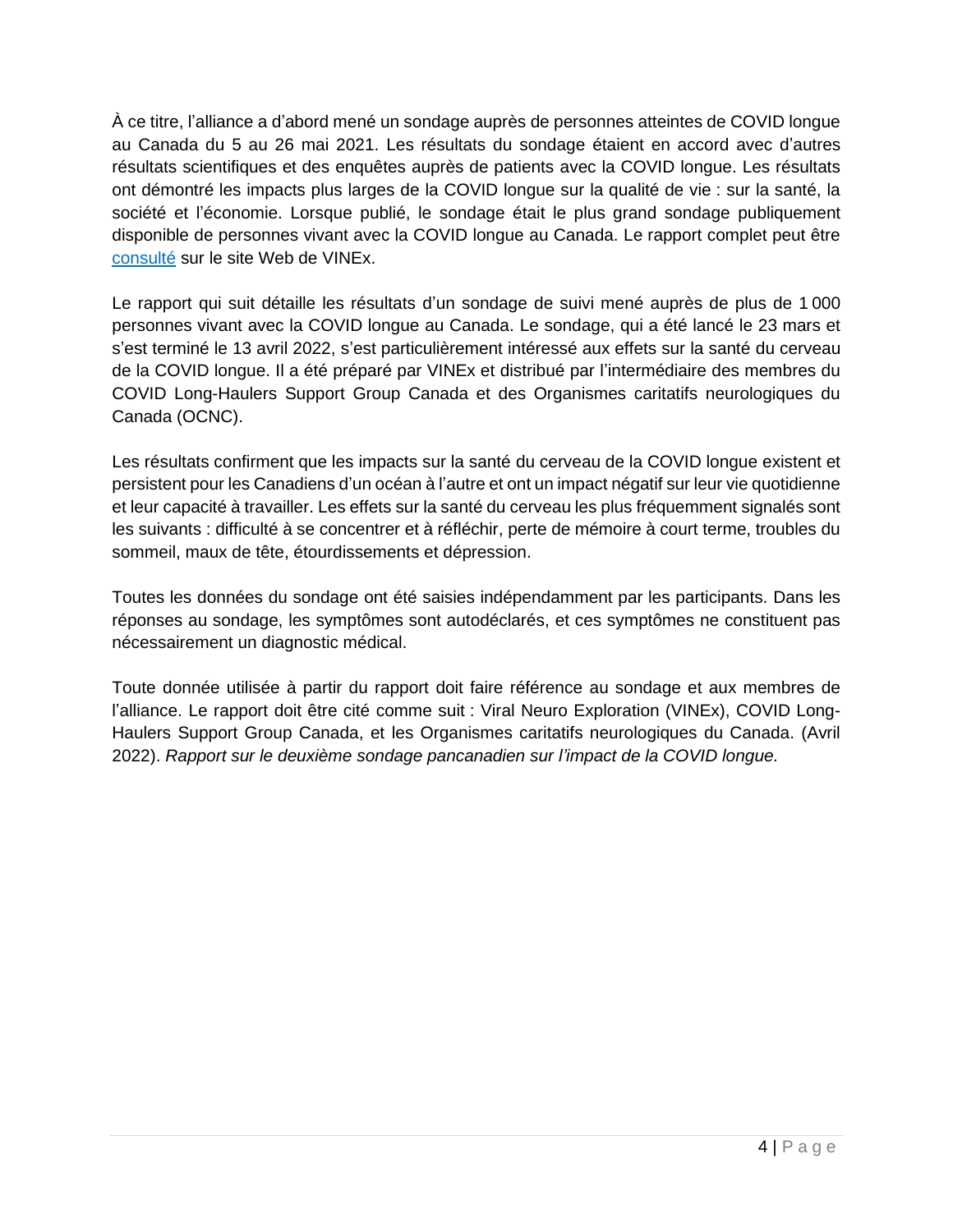À ce titre, l'alliance a d'abord mené un sondage auprès de personnes atteintes de COVID longue au Canada du 5 au 26 mai 2021. Les résultats du sondage étaient en accord avec d'autres résultats scientifiques et des enquêtes auprès de patients avec la COVID longue. Les résultats ont démontré les impacts plus larges de la COVID longue sur la qualité de vie : sur la santé, la société et l'économie. Lorsque publié, le sondage était le plus grand sondage publiquement disponible de personnes vivant avec la COVID longue au Canada. Le rapport complet peut être [consulté](https://imgix.cosmicjs.com/d8d3d3b0-c936-11eb-ba89-e7f98c8c358b-FINAL---Report-on-Long-Covid-Impact-Survey---June-8-2021.pdf) sur le site Web de VINEx.

Le rapport qui suit détaille les résultats d'un sondage de suivi mené auprès de plus de 1 000 personnes vivant avec la COVID longue au Canada. Le sondage, qui a été lancé le 23 mars et s'est terminé le 13 avril 2022, s'est particulièrement intéressé aux effets sur la santé du cerveau de la COVID longue. Il a été préparé par VINEx et distribué par l'intermédiaire des membres du COVID Long-Haulers Support Group Canada et des Organismes caritatifs neurologiques du Canada (OCNC).

Les résultats confirment que les impacts sur la santé du cerveau de la COVID longue existent et persistent pour les Canadiens d'un océan à l'autre et ont un impact négatif sur leur vie quotidienne et leur capacité à travailler. Les effets sur la santé du cerveau les plus fréquemment signalés sont les suivants : difficulté à se concentrer et à réfléchir, perte de mémoire à court terme, troubles du sommeil, maux de tête, étourdissements et dépression.

Toutes les données du sondage ont été saisies indépendamment par les participants. Dans les réponses au sondage, les symptômes sont autodéclarés, et ces symptômes ne constituent pas nécessairement un diagnostic médical.

Toute donnée utilisée à partir du rapport doit faire référence au sondage et aux membres de l'alliance. Le rapport doit être cité comme suit : Viral Neuro Exploration (VINEx), COVID Long-Haulers Support Group Canada, et les Organismes caritatifs neurologiques du Canada. (Avril 2022). *Rapport sur le deuxième sondage pancanadien sur l'impact de la COVID longue.*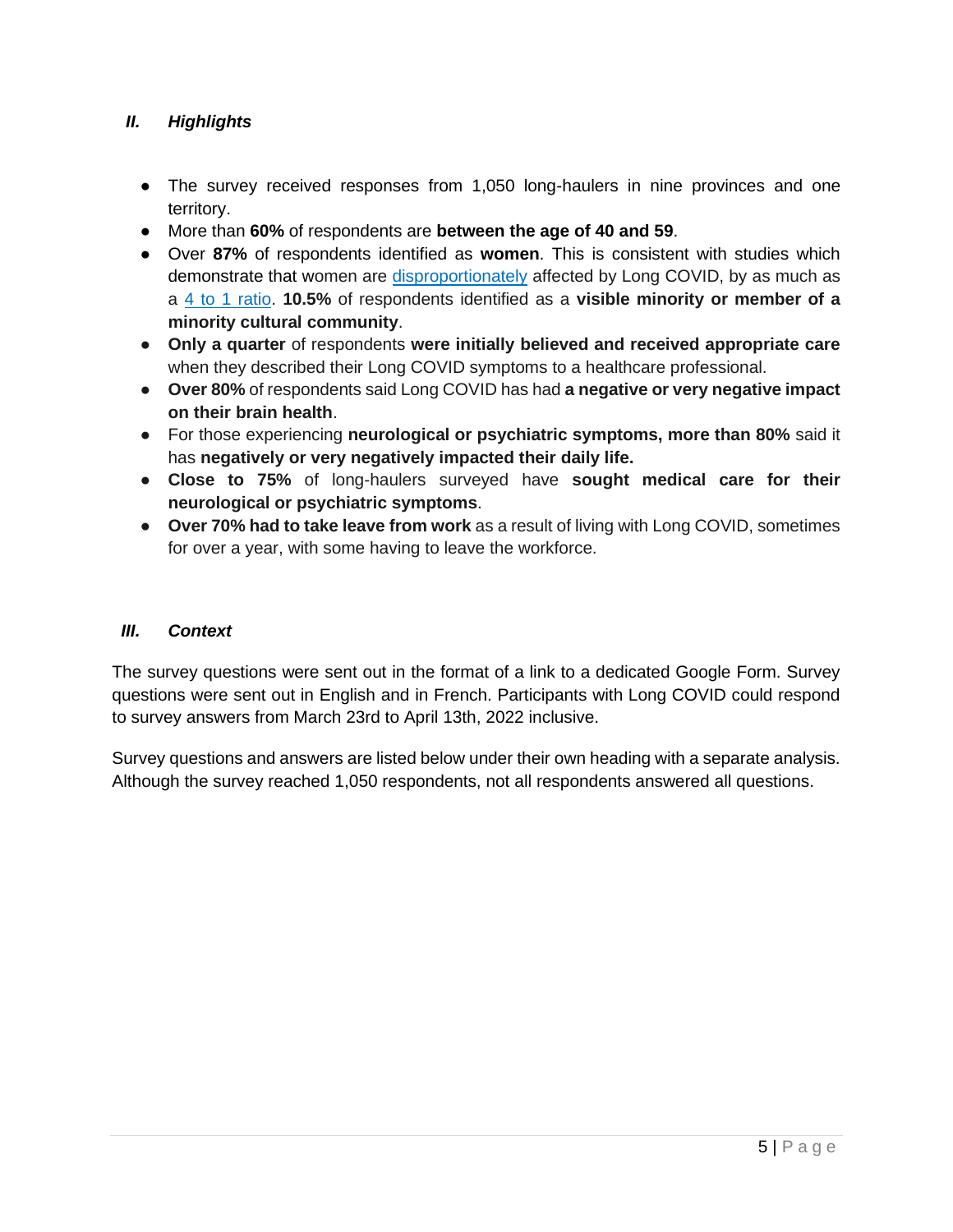#### *II. Highlights*

- The survey received responses from 1,050 long-haulers in nine provinces and one territory.
- More than **60%** of respondents are **between the age of 40 and 59**.
- Over **87%** of respondents identified as **women**. This is consistent with studies which demonstrate that women ar[e](https://www.bmj.com/content/372/bmj.n829) [disproportionately](https://www.bmj.com/content/372/bmj.n829) affected by Long COVID, by as much as a [4 to 1 ratio.](https://can01.safelinks.protection.outlook.com/?url=https%3A%2F%2Fwww.ncbi.nlm.nih.gov%2Fpmc%2Farticles%2FPMC7376333%2F&data=04%7C01%7Cnhassan%40globeandmail.com%7Cfc861549a16d4709d8d608d8be2e5491%7C44376110425e46ab942e26c9518bfd03%7C1%7C0%7C637468454461114660%7CUnknown%7CTWFpbGZsb3d8eyJWIjoiMC4wLjAwMDAiLCJQIjoiV2luMzIiLCJBTiI6Ik1haWwiLCJXVCI6Mn0%3D%7C3000&sdata=K4Z%2BY55FJxTdbJGs1f%2B%2Bj4Rm1qvXOzRu%2B%2BdeVGi1NtM%3D&reserved=0) **10.5%** of respondents identified as a **visible minority or member of a minority cultural community**.
- **Only a quarter** of respondents **were initially believed and received appropriate care** when they described their Long COVID symptoms to a healthcare professional.
- **Over 80%** of respondents said Long COVID has had **a negative or very negative impact on their brain health**.
- For those experiencing **neurological or psychiatric symptoms, more than 80%** said it has **negatively or very negatively impacted their daily life.**
- **Close to 75%** of long-haulers surveyed have **sought medical care for their neurological or psychiatric symptoms**.
- **Over 70% had to take leave from work** as a result of living with Long COVID, sometimes for over a year, with some having to leave the workforce.

#### *III. Context*

The survey questions were sent out in the format of a link to a dedicated Google Form. Survey questions were sent out in English and in French. Participants with Long COVID could respond to survey answers from March 23rd to April 13th, 2022 inclusive.

Survey questions and answers are listed below under their own heading with a separate analysis. Although the survey reached 1,050 respondents, not all respondents answered all questions.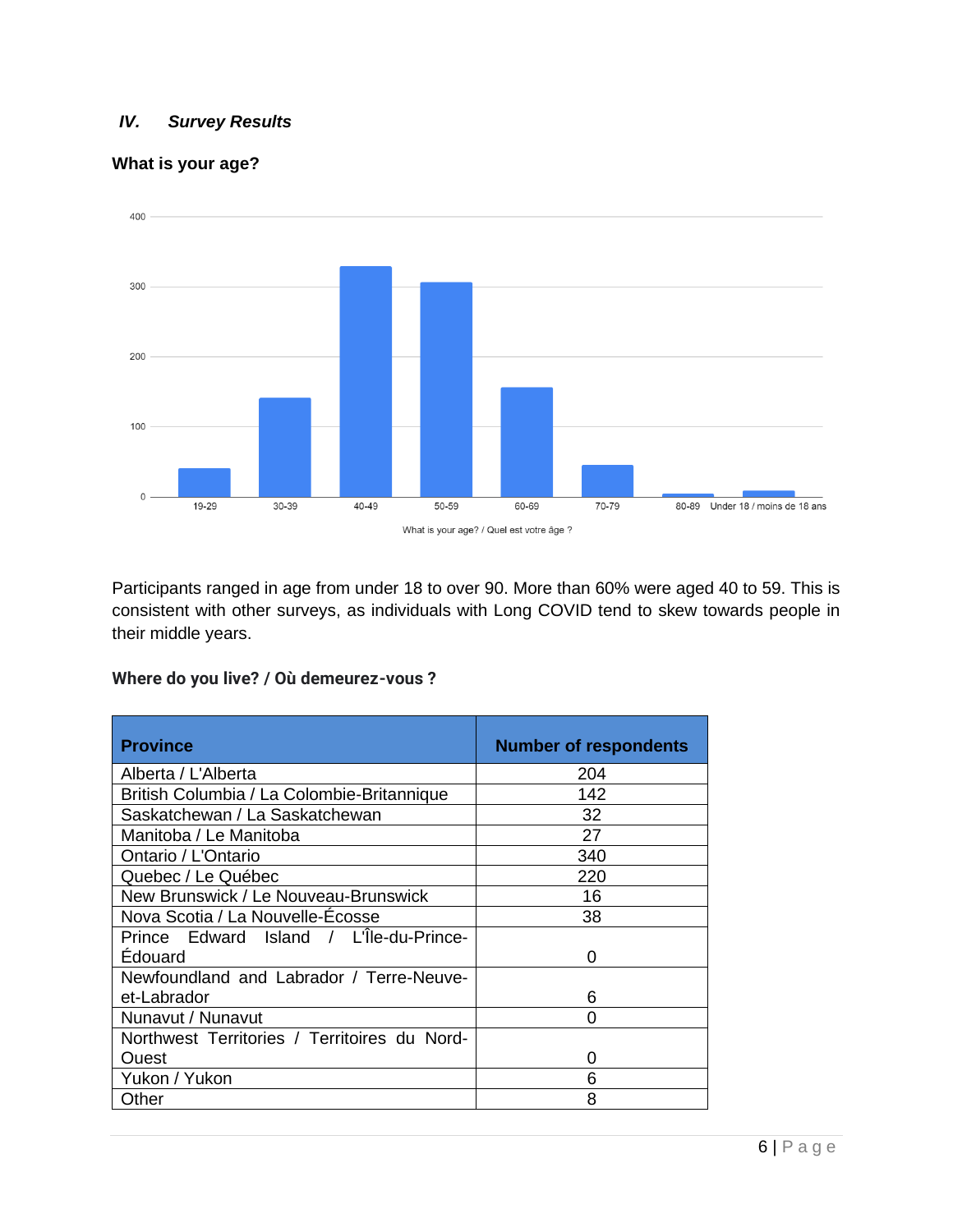#### *IV. Survey Results*

#### **What is your age?**



Participants ranged in age from under 18 to over 90. More than 60% were aged 40 to 59. This is consistent with other surveys, as individuals with Long COVID tend to skew towards people in their middle years.

| <b>Province</b>                              | <b>Number of respondents</b> |
|----------------------------------------------|------------------------------|
| Alberta / L'Alberta                          | 204                          |
| British Columbia / La Colombie-Britannique   | 142                          |
| Saskatchewan / La Saskatchewan               | 32                           |
| Manitoba / Le Manitoba                       | 27                           |
| Ontario / L'Ontario                          | 340                          |
| Quebec / Le Québec                           | 220                          |
| New Brunswick / Le Nouveau-Brunswick         | 16                           |
| Nova Scotia / La Nouvelle-Écosse             | 38                           |
| Prince Edward Island / L'Île-du-Prince-      |                              |
| <b>Édouard</b>                               | O                            |
| Newfoundland and Labrador / Terre-Neuve-     |                              |
| et-Labrador                                  | 6                            |
| Nunavut / Nunavut                            | ი                            |
| Northwest Territories / Territoires du Nord- |                              |
| Ouest                                        | 0                            |
| Yukon / Yukon                                | 6                            |
| Other                                        | 8                            |

#### **Where do you live? / Où demeurez-vous ?**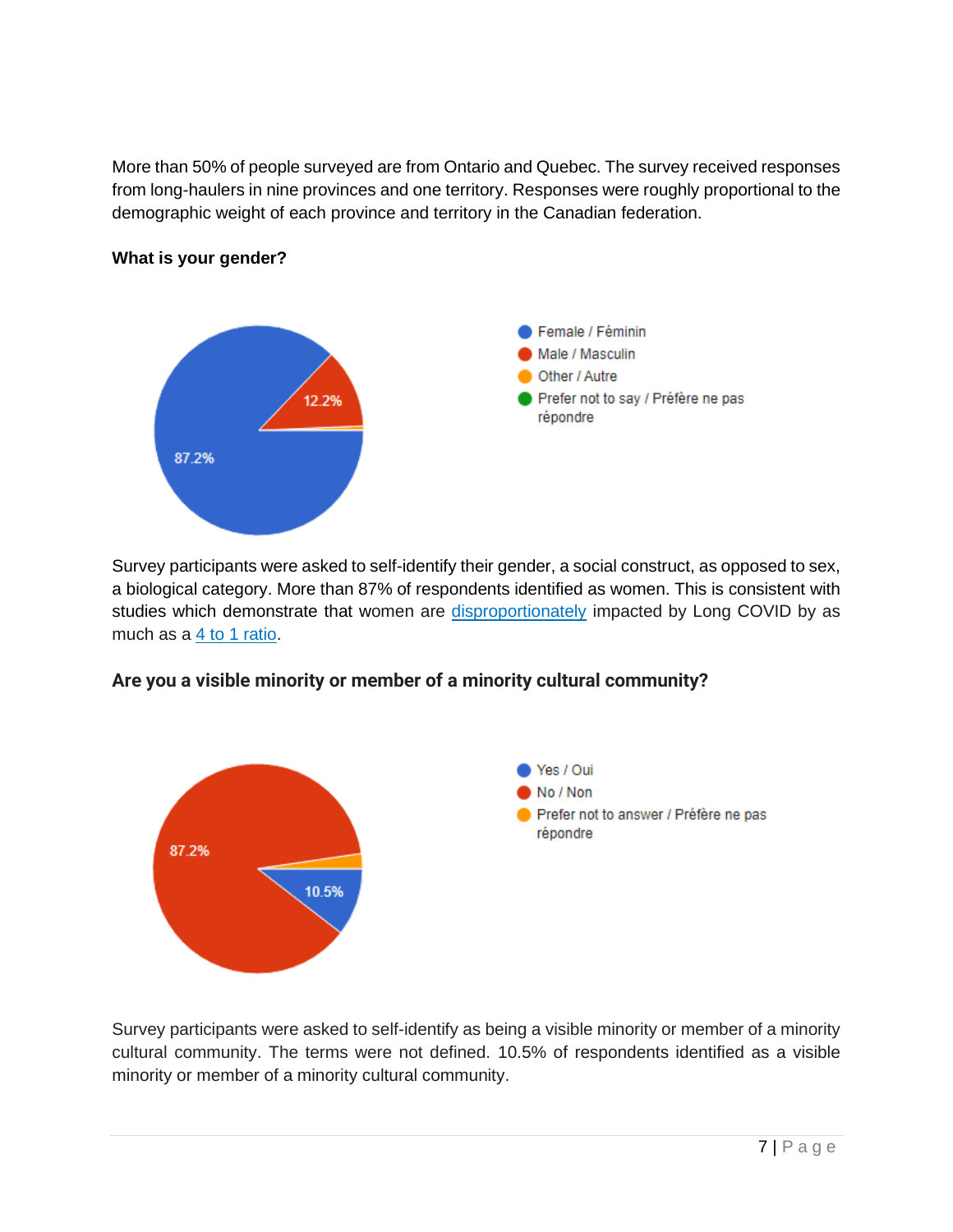More than 50% of people surveyed are from Ontario and Quebec. The survey received responses from long-haulers in nine provinces and one territory. Responses were roughly proportional to the demographic weight of each province and territory in the Canadian federation.



#### **What is your gender?**

Survey participants were asked to self-identify their gender, a social construct, as opposed to sex, a biological category. More than 87% of respondents identified as women. This is consistent with studi[e](https://www.bmj.com/content/372/bmj.n829)s which demonstrate that women are [disproportionately](https://www.bmj.com/content/372/bmj.n829) impacted by Long COVID by as much as a [4 to 1 ratio.](https://can01.safelinks.protection.outlook.com/?url=https%3A%2F%2Fwww.ncbi.nlm.nih.gov%2Fpmc%2Farticles%2FPMC7376333%2F&data=04%7C01%7Cnhassan%40globeandmail.com%7Cfc861549a16d4709d8d608d8be2e5491%7C44376110425e46ab942e26c9518bfd03%7C1%7C0%7C637468454461114660%7CUnknown%7CTWFpbGZsb3d8eyJWIjoiMC4wLjAwMDAiLCJQIjoiV2luMzIiLCJBTiI6Ik1haWwiLCJXVCI6Mn0%3D%7C3000&sdata=K4Z%2BY55FJxTdbJGs1f%2B%2Bj4Rm1qvXOzRu%2B%2BdeVGi1NtM%3D&reserved=0)



## **Are you a visible minority or member of a minority cultural community?**

Survey participants were asked to self-identify as being a visible minority or member of a minority cultural community. The terms were not defined. 10.5% of respondents identified as a visible minority or member of a minority cultural community.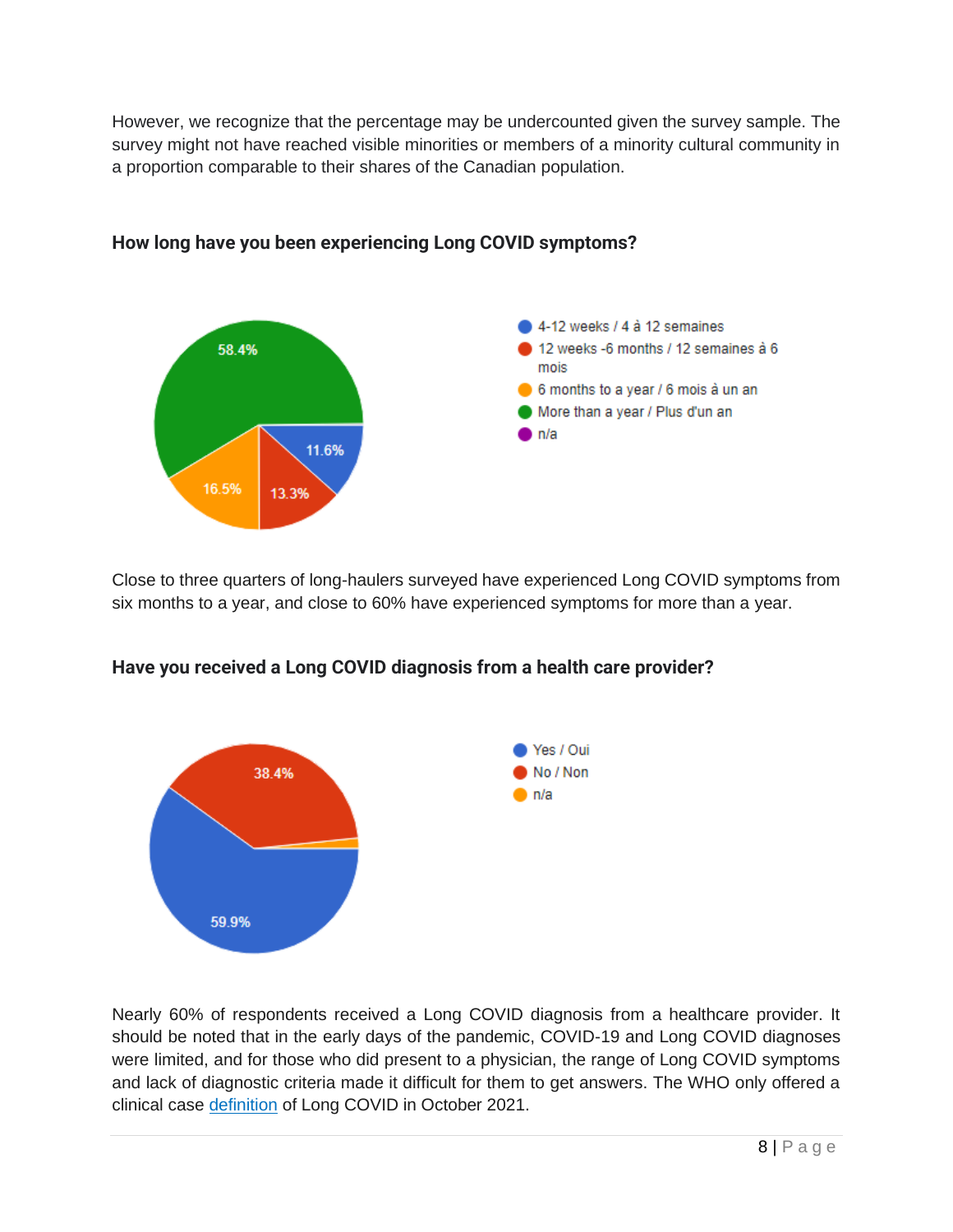However, we recognize that the percentage may be undercounted given the survey sample. The survey might not have reached visible minorities or members of a minority cultural community in a proportion comparable to their shares of the Canadian population.



## **How long have you been experiencing Long COVID symptoms?**

Close to three quarters of long-haulers surveyed have experienced Long COVID symptoms from six months to a year, and close to 60% have experienced symptoms for more than a year.



## **Have you received a Long COVID diagnosis from a health care provider?**

Nearly 60% of respondents received a Long COVID diagnosis from a healthcare provider. It should be noted that in the early days of the pandemic, COVID-19 and Long COVID diagnoses were limited, and for those who did present to a physician, the range of Long COVID symptoms and lack of diagnostic criteria made it difficult for them to get answers. The WHO only offered a clinical case [definition](https://www.who.int/publications/i/item/WHO-2019-nCoV-Post_COVID-19_condition-Clinical_case_definition-2021.1) of Long COVID in October 2021.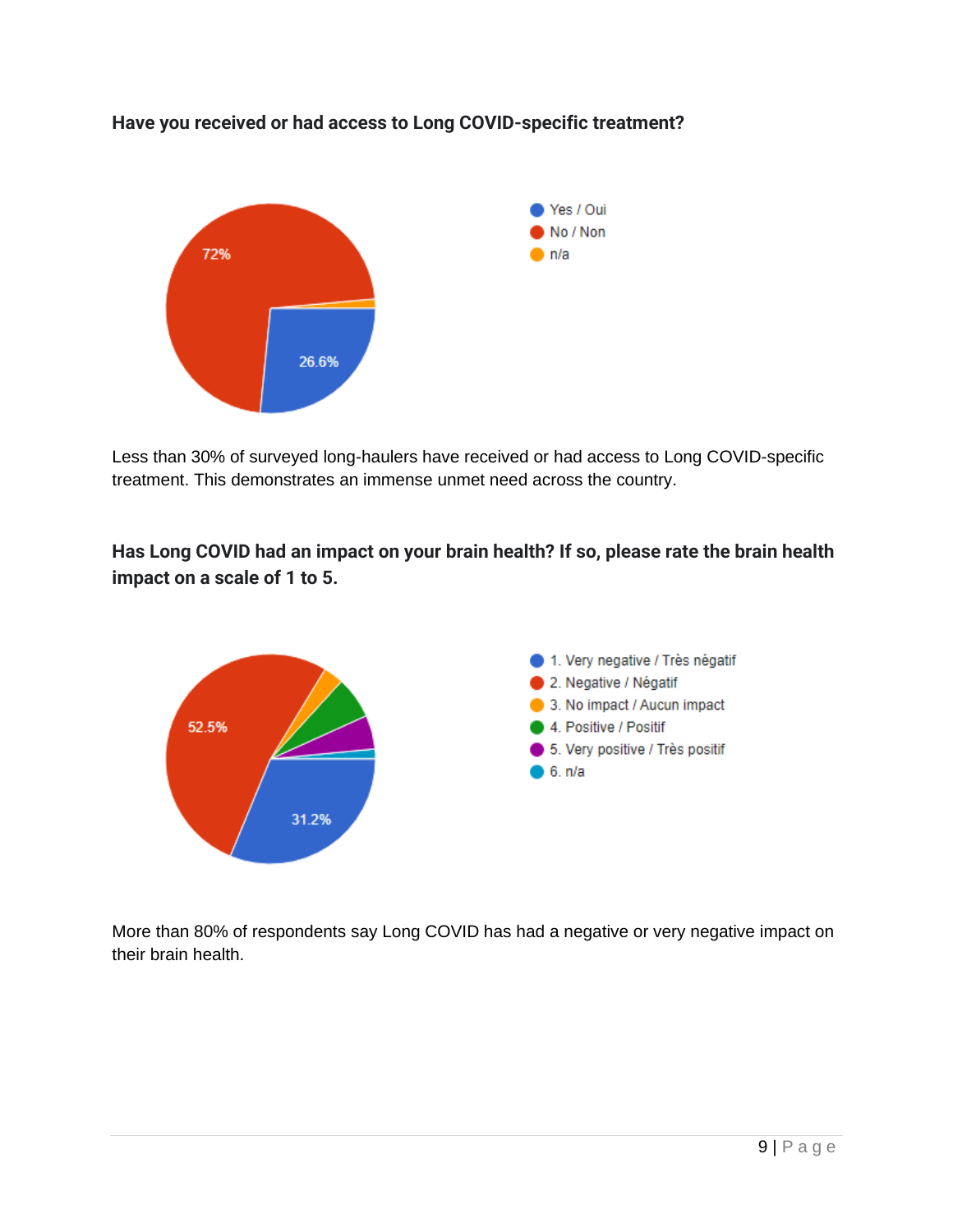

**Have you received or had access to Long COVID-specific treatment?**

Less than 30% of surveyed long-haulers have received or had access to Long COVID-specific treatment. This demonstrates an immense unmet need across the country.

**Has Long COVID had an impact on your brain health? If so, please rate the brain health impact on a scale of 1 to 5.** 



More than 80% of respondents say Long COVID has had a negative or very negative impact on their brain health.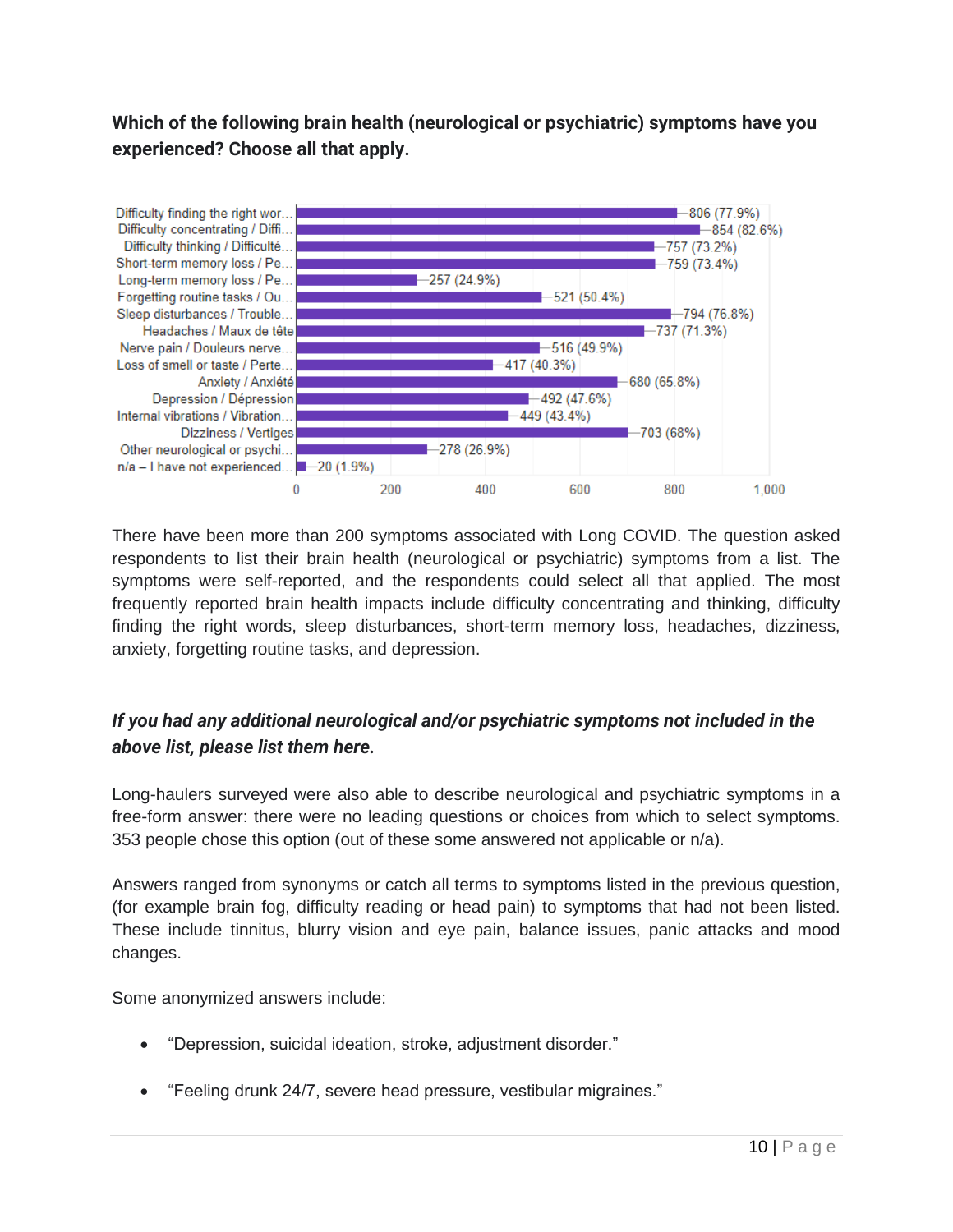## **Which of the following brain health (neurological or psychiatric) symptoms have you experienced? Choose all that apply.**



There have been more than 200 symptoms associated with Long COVID. The question asked respondents to list their brain health (neurological or psychiatric) symptoms from a list. The symptoms were self-reported, and the respondents could select all that applied. The most frequently reported brain health impacts include difficulty concentrating and thinking, difficulty finding the right words, sleep disturbances, short-term memory loss, headaches, dizziness, anxiety, forgetting routine tasks, and depression.

## *If you had any additional neurological and/or psychiatric symptoms not included in the above list, please list them here.*

Long-haulers surveyed were also able to describe neurological and psychiatric symptoms in a free-form answer: there were no leading questions or choices from which to select symptoms. 353 people chose this option (out of these some answered not applicable or n/a).

Answers ranged from synonyms or catch all terms to symptoms listed in the previous question, (for example brain fog, difficulty reading or head pain) to symptoms that had not been listed. These include tinnitus, blurry vision and eye pain, balance issues, panic attacks and mood changes.

Some anonymized answers include:

- "Depression, suicidal ideation, stroke, adjustment disorder."
- "Feeling drunk 24/7, severe head pressure, vestibular migraines."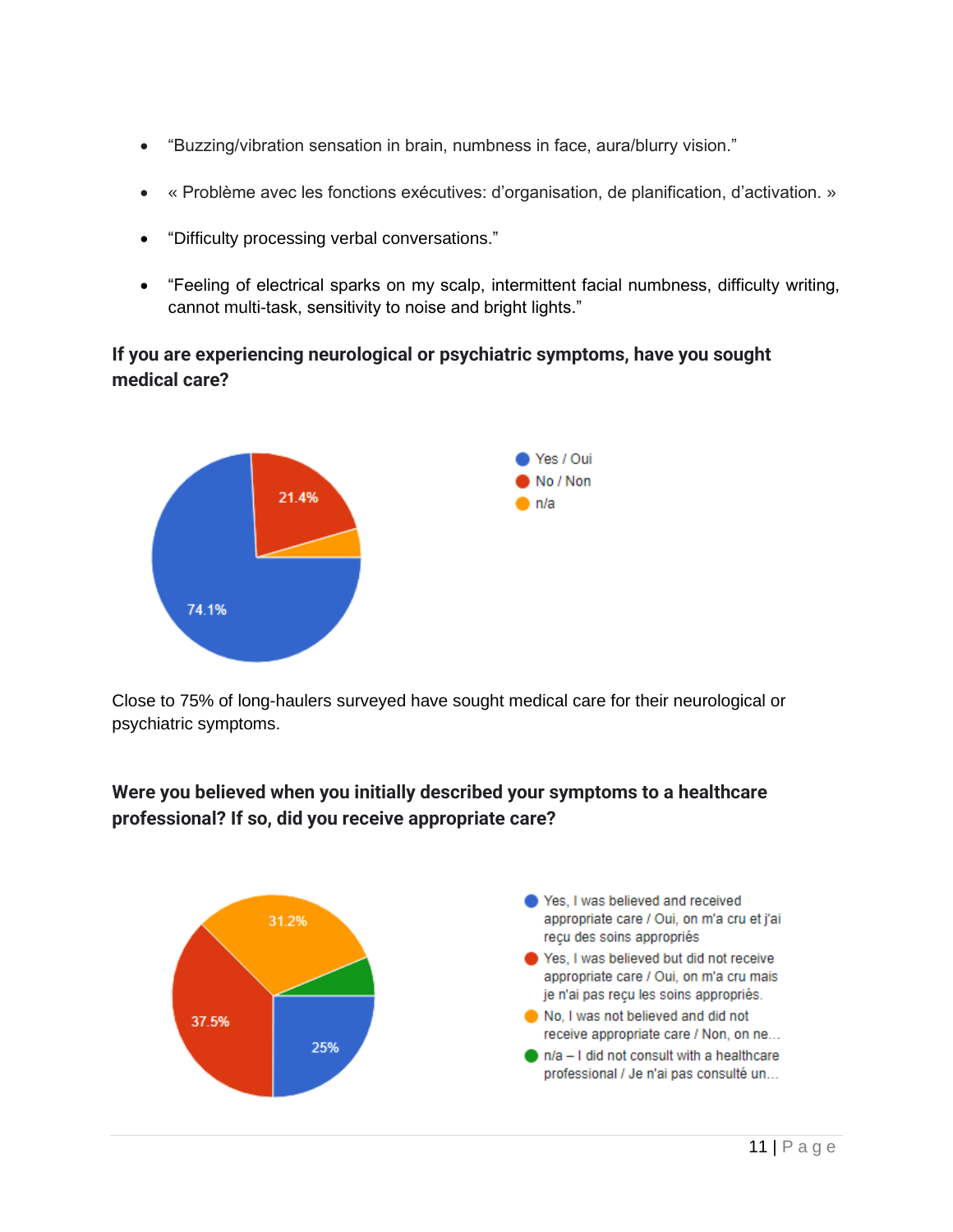- "Buzzing/vibration sensation in brain, numbness in face, aura/blurry vision."
- « Problème avec les fonctions exécutives: d'organisation, de planification, d'activation. »
- "Difficulty processing verbal conversations."
- "Feeling of electrical sparks on my scalp, intermittent facial numbness, difficulty writing, cannot multi-task, sensitivity to noise and bright lights."

## **If you are experiencing neurological or psychiatric symptoms, have you sought medical care?**



Close to 75% of long-haulers surveyed have sought medical care for their neurological or psychiatric symptoms.

**Were you believed when you initially described your symptoms to a healthcare professional? If so, did you receive appropriate care?**

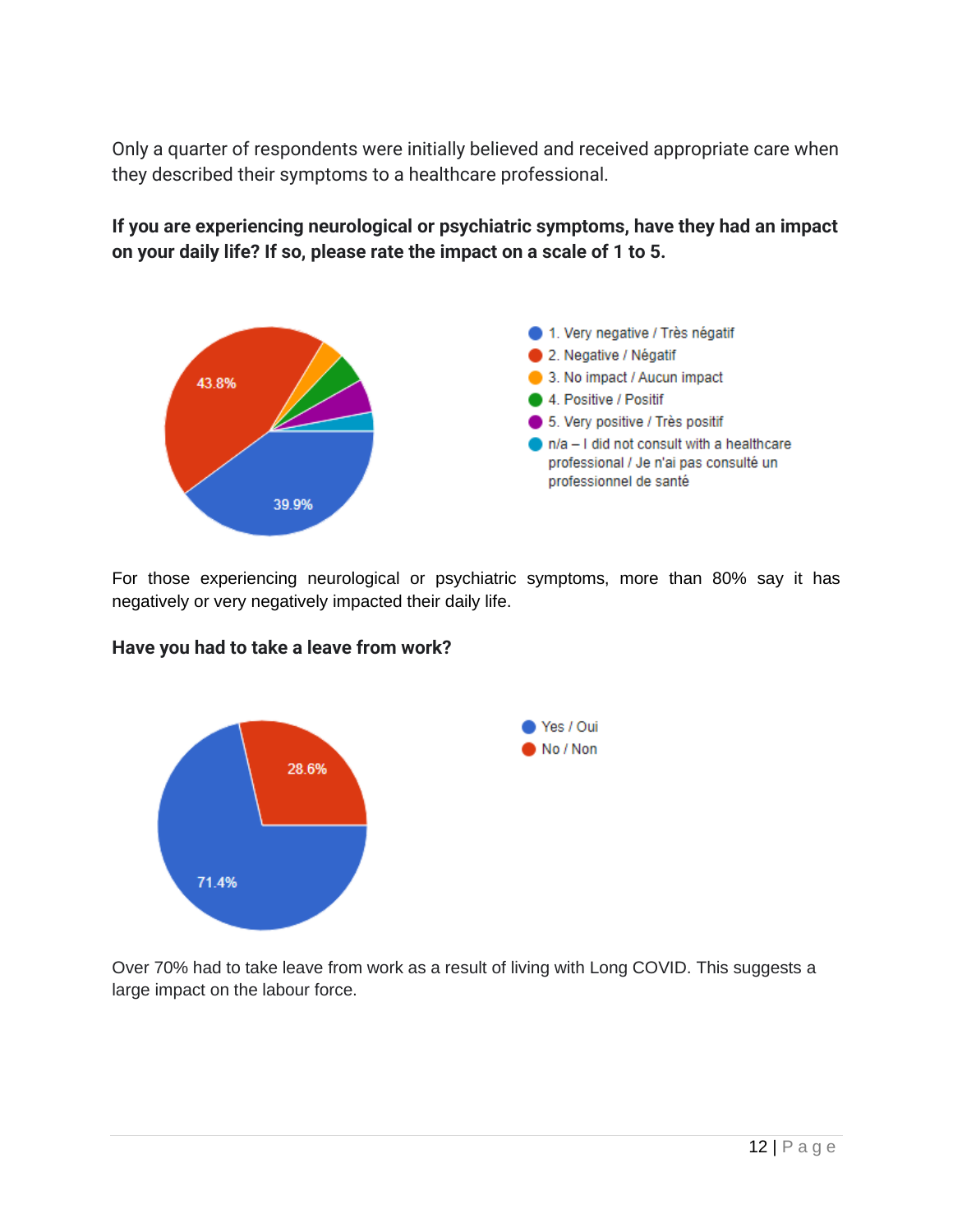Only a quarter of respondents were initially believed and received appropriate care when they described their symptoms to a healthcare professional.



**If you are experiencing neurological or psychiatric symptoms, have they had an impact on your daily life? If so, please rate the impact on a scale of 1 to 5.** 

For those experiencing neurological or psychiatric symptoms, more than 80% say it has negatively or very negatively impacted their daily life.



## **Have you had to take a leave from work?**

Over 70% had to take leave from work as a result of living with Long COVID. This suggests a large impact on the labour force.